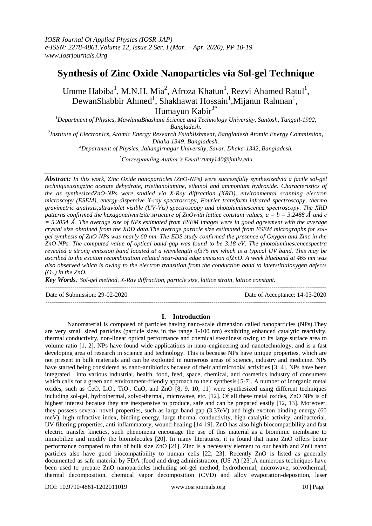# **Synthesis of Zinc Oxide Nanoparticles via Sol-gel Technique**

Umme Habiba<sup>1</sup>, M.N.H. Mia<sup>2</sup>, Afroza Khatun<sup>1</sup>, Rezvi Ahamed Ratul<sup>1</sup>, DewanShabbir Ahmed<sup>1</sup>, Shakhawat Hossain<sup>1</sup>,Mijanur Rahman<sup>1</sup>, Humayun Kabir<sup>3\*</sup>

*<sup>1</sup>Department of Physics, MawlanaBhashani Science and Technology University, Santosh, Tangail-1902, Bangladesh. 2 Institute of Electronics, Atomic Energy Research Establishment, Bangladesh Atomic Energy Commission, Dhaka 1349, Bangladesh.*

*<sup>3</sup>Department of Physics, Jahangirnagar University, Savar, Dhaka-1342, Bangladesh.*

*\*Corresponding Author's Email:rumy140@juniv.edu*

*Abstract: In this work, Zinc Oxide nanoparticles (ZnO-NPs) were successfully synthesizedvia a facile sol-gel techniqueusingzinc acetate dehydrate, triethanolamine, ethanol and ammonium hydroxide. Characteristics of the as synthesizedZnO-NPs were studied via X-Ray diffraction (XRD), environmental scanning electron microscopy (ESEM), energy-dispersive X-ray spectroscopy, Fourier transform infrared spectroscopy, thermo gravimetric analysis,ultraviolet visible (UV-Vis) spectroscopy and photoluminescence spectroscopy. The XRD*  patterns confirmed the hexagonalwurtzite structure of ZnOwith lattice constant values,  $a = b = 3.2488 \text{ Å}$  and c *= 5.2054* Å *. The average size of NPs estimated from ESEM images were in good agreement with the average crystal size obtained from the XRD data.The average particle size estimated from ESEM micrographs for solgel synthesis of ZnO-NPs was nearly 60 nm. The EDS study confirmed the presence of Oxygen and Zinc in the ZnO-NPs. The computed value of optical band gap was found to be 3.18 eV. The photoluminescencespectra revealed a strong emission band located at a wavelength of375 nm which is a typical UV band. This may be ascribed to the exciton recombination related near-band edge emission ofZnO. A week blueband at 465 nm was also observed which is owing to the electron transition from the conduction band to interstitialoxygen defects*   $(O<sub>in</sub>)$  *in the ZnO.* 

*Key Words: Sol-gel method, X-Ray diffraction, particle size, lattice strain, lattice constant.*

 $-1\leq i\leq n-1$ 

Date of Submission: 29-02-2020 Date of Acceptance: 14-03-2020 ---------------------------------------------------------------------------------------------------------------------------------------

#### **I. Introduction**

Nanomaterial is composed of particles having nano-scale dimension called nanoparticles (NPs).They are very small sized particles (particle sizes in the range 1-100 nm) exhibiting enhanced catalytic reactivity, thermal conductivity, non-linear optical performance and chemical steadiness owing to its large surface area to volume ratio [1, 2]. NPs have found wide applications in nano-engineering and nanotechnology, and is a fast developing area of research in science and technology. This is because NPs have unique properties, which are not present in bulk materials and can be exploited in numerous areas of science, industry and medicine. NPs have started being considered as nano-antibiotics because of their antimicrobial activities [3, 4]. NPs have been integrated into various industrial, health, food, feed, space, chemical, and cosmetics industry of consumers which calls for a green and environment-friendly approach to their synthesis [5-7]. A number of inorganic metal oxides, such as CeO,  $L_2O_3$ , TiO<sub>2</sub>, CuO, and ZnO [8, 9, 10, 11] were synthesized using different techniques including sol-gel, hydrothermal, solvo-thermal, microwave, etc. [12]. Of all these metal oxides, ZnO NPs is of highest interest because they are inexpensive to produce, safe and can be prepared easily [12, 13]. Moreover, they possess several novel properties, such as large band gap (3.37eV) and high exciton binding energy (60 meV), high refractive index, binding energy, large thermal conductivity, high catalytic activity, antibacterial, UV filtering properties, anti-inflammatory, wound healing [14-19]. ZnO has also high biocompatibility and fast electric transfer kinetics, such phenomena encourage the use of this material as a biomimic membrane to immobilize and modify the biomolecules [20]. In many literatures, it is found that nano ZnO offers better performance compared to that of bulk size ZnO [21]. Zinc is a necessary element to our health and ZnO nano particles also have good biocompatibility to human cells [22, 23]. Recently ZnO is listed as generally documented as safe material by FDA (food and drug administration, (US A) [23].A numerous techniques have been used to prepare ZnO nanoparticles including sol-gel method, hydrothermal, microwave, solvothermal, thermal decomposition, chemical vapor decomposition (CVD) and alloy evaporation-deposition, laser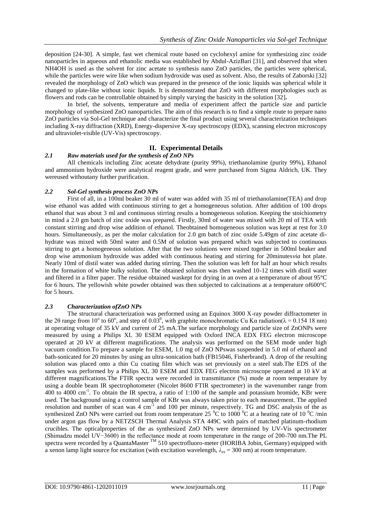deposition [24-30]. A simple, fast wet chemical route based on cyclohexyl amine for synthesizing zinc oxide nanoparticles in aqueous and ethanolic media was established by Abdul-AzizBari [31], and observed that when NH4OH is used as the solvent for zinc acetate to synthesis nano ZnO particles, the particles were spherical, while the particles were wire like when sodium hydroxide was used as solvent. Also, the results of Zaborski [32] revealed the morphology of ZnO which was prepared in the presence of the ionic liquids was spherical while it changed to plate-like without ionic liquids. It is demonstrated that ZnO with different morphologies such as flowers and rods can be controllable obtained by simply varying the basicity in the solution [32]**.**

In brief, the solvents, temperature and media of experiment affect the particle size and particle morphology of synthesized ZnO nanoparticles. The aim of this research is to find a simple route to prepare nano ZnO particles via Sol-Gel technique and characterize the final product using several characterization techniques including X-ray diffraction (XRD), Energy-dispersive X-ray spectroscopy (EDX), scanning electron microscopy and ultraviolet-visible (UV-Vis) spectroscopy.

### **II. Experimental Details**

#### *2.1 Raw materials used for the synthesis of ZnO NPs*

All chemicals including Zinc acetate dehydrate (purity 99%), triethanolamine (purity 99%), Ethanol and ammonium hydroxide were analytical reagent grade, and were purchased from Sigma Aldrich, UK. They wereused withoutany further purification.

#### *2.2 Sol-Gel synthesis process ZnO NPs*

First of all, in a 100ml beaker 30 ml of water was added with 35 ml of triethanolamine(TEA) and drop wise ethanol was added with continuous stirring to get a homogeneous solution. After addition of 100 drops ethanol that was about 3 ml and continuous stirring results a homogeneous solution. Keeping the stoichiometry in mind a 2.0 gm batch of zinc oxide was prepared. Firstly, 30ml of water was mixed with 20 ml of TEA with constant stirring and drop wise addition of ethanol. Theobtained homogeneous solution was kept at rest for 3.0 hours. Simultaneously, as per the molar calculation for 2.0 gm batch of zinc oxide 5.49gm of zinc acetate dihydrate was mixed with 50ml water and 0.5M of solution was prepared which was subjected to continuous stirring to get a homogeneous solution. After that the two solutions were mixed together in 500ml beaker and drop wise ammonium hydroxide was added with continuous heating and stirring for 20minutes*via* hot plate. Nearly 10ml of distil water was added during stirring. Then the solution was left for half an hour which results in the formation of white bulky solution. The obtained solution was then washed 10-12 times with distil water and filtered in a filter paper. The residue obtained waskept for drying in an oven at a temperature of about 95°C for 6 hours. The yellowish white powder obtained was then subjected to calcinations at a temperature of600°C for 5 hours.

### *2.3 Characterization ofZnO NPs*

The structural characterization was performed using an Equinox 3000 X-ray powder diffractometer in the 20 range from 10<sup>o</sup> to 60<sup>o</sup>, and step of 0.03<sup>0</sup>, with graphite monochromatic Cu K $\alpha$  radiation( $\lambda$  = 0.154 18 nm) at operating voltage of 35 kV and current of 25 mA.The surface morphology and particle size of ZnONPs were measured by using a Philips XL 30 ESEM equipped with Oxford INCA EDX FEG electron microscope operated at 20 kV at different magnifications. The analysis was performed on the SEM mode under high vacuum condition.To prepare a sample for ESEM, 1.0 mg of ZnO NPswas suspended in 5.0 ml of ethanol and bath-sonicated for 20 minutes by using an ultra-sonication bath (FB15046, Fisherbrand). A drop of the resulting solution was placed onto a thin Cu coating film which was set previously on a steel stab.The EDS of the samples was performed by a Philips XL 30 ESEM and EDX FEG electron microscope operated at 10 kV at different magnifications.The FTIR spectra were recorded in transmittance (%) mode at room temperature by using a double beam IR spectrophotometer (Nicolet 8600 FTIR spectrometer) in the wavenumber range from 400 to 4000 cm-1 . To obtain the IR spectra, a ratio of 1:100 of the sample and potassium bromide, KBr were used. The background using a control sample of KBr was always taken prior to each measurement. The applied resolution and number of scan was 4 cm<sup>-1</sup> and 100 per minute, respectively. TG and DSC analysis of the as synthesized ZnO NPs were carried out from room temperature 25  $^{\circ}$ C to 1000  $^{\circ}$ C at a heating rate of 10  $^{\circ}$ C /min under argon gas flow by a NETZSCH Thermal Analysis STA 449C with pairs of matched platinum-rhodium crucibles. The opticalproperties of the as synthesized ZnO NPs were determined by UV-Vis spectrometer (Shimadzu model UV−3600) in the reflectance mode at room temperature in the range of 200-700 nm.The PL spectra were recorded by a QuantaMaster  $^{TM}$  510 spectrofluoro-meter (HORIBA Jobin, Germany) equipped with a xenon lamp light source for excitation (with excitation wavelength,  $\lambda_{ex} = 300$  nm) at room temperature.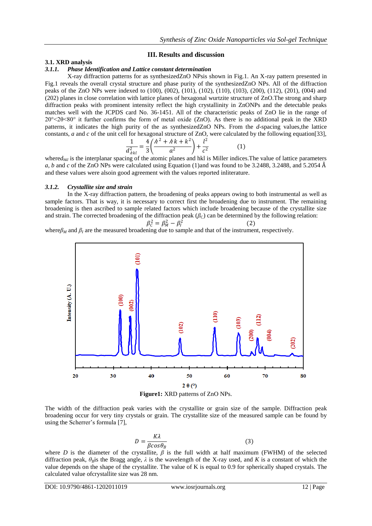(2)

#### **III. Results and discussion**

#### **3.1. XRD analysis**

#### *3.1.1. Phase Identification and Lattice constant determination*

X-ray diffraction patterns for as synthesizedZnO NPsis shown in Fig.1. An X-ray pattern presented in Fig.1 reveals the overall crystal structure and phase purity of the synthesizedZnO NPs. All of the diffraction peaks of the ZnO NPs were indexed to (100), (002), (101), (102), (110), (103), (200), (112), (201), (004) and (202) planes in close correlation with lattice planes of hexagonal wurtzite structure of ZnO.The strong and sharp diffraction peaks with prominent intensity reflect the high crystallinity in ZnONPs and the detectable peaks matches well with the JCPDS card No. 36-1451. All of the characteristic peaks of ZnO lie in the range of 20°<2θ<80° it further confirms the form of metal oxide (ZnO). As there is no additional peak in the XRD patterns, it indicates the high purity of the as synthesizedZnO NPs. From the *d*-spacing values,the lattice constants, *a* and *c* of the unit cell for hexagonal structure of ZnO, were calculated by the following equation[33],

$$
\frac{1}{d_{\lambda kl}^2} = \frac{4}{3} \left( \frac{h^2 + h k + k^2}{a^2} \right) + \frac{l^2}{c^2}
$$
 (1)

where $d_{hkl}$  is the interplanar spacing of the atomic planes and hkl is Miller indices. The value of lattice parameters *a*, *b* and *c* of the ZnO NPs were calculated using Equation (1)and was found to be 3.2488, 3.2488, and 5.2054 Å and these values were alsoin good agreement with the values reported inliterature.

#### *3.1.2. Crystallite size and strain*

In the X-ray diffraction pattern, the broadening of peaks appears owing to both instrumental as well as sample factors. That is way, it is necessary to correct first the broadening due to instrument. The remaining broadening is then ascribed to sample related factors which include broadening because of the crystallite size and strain. The corrected broadening of the diffraction peak  $(\beta_C)$  can be determined by the following relation:

$$
\beta_{C}^{2}=\beta_{M}^{2}-\beta_{I}^{2}
$$

where*β<sup>M</sup>* and *β<sup>I</sup>* are the measured broadening due to sample and that of the instrument, respectively.



**Figure1:** XRD patterns of ZnO NPs.

The width of the diffraction peak varies with the crystallite or grain size of the sample. Diffraction peak broadening occur for very tiny crystals or grain. The crystallite size of the measured sample can be found by using the Scherrer's formula [7],

$$
D = \frac{K\lambda}{\beta \cos \theta_B} \tag{3}
$$

where *D* is the diameter of the crystallite,  $\beta$  is the full width at half maximum (FWHM) of the selected diffraction peak,  $\theta_R$ is the Bragg angle,  $\lambda$  is the wavelength of the X-ray used, and K is a constant of which the value depends on the shape of the crystallite. The value of K is equal to 0.9 for spherically shaped crystals. The calculated value ofcrystallite size was 28 nm.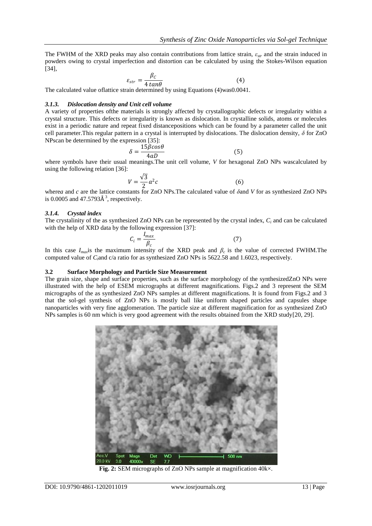The FWHM of the XRD peaks may also contain contributions from lattice strain, *εstr* and the strain induced in powders owing to crystal imperfection and distortion can be calculated by using the Stokes-Wilson equation [34],

$$
\varepsilon_{str} = \frac{\beta_c}{4 \tan \theta} \tag{4}
$$

The calculated value oflattice strain determined by using Equations (4)was0.0041.

#### *3.1.3. Dislocation density and Unit cell volume*

A variety of properties ofthe materials is strongly affected by crystallographic defects or irregularity within a crystal structure. This defects or irregularity is known as dislocation. In crystalline solids, atoms or molecules exist in a periodic nature and repeat fixed distancepositions which can be found by a parameter called the unit cell parameter.This regular pattern in a crystal is interrupted by dislocations. The dislocation density, *δ* for ZnO NPscan be determined by the expression [35]:

$$
\delta = \frac{15\beta cos\theta}{4aD} \tag{5}
$$

where symbols have their usual meanings.The unit cell volume, *V* for hexagonal ZnO NPs wascalculated by using the following relation [36]:

$$
V = \frac{\sqrt{3}}{2}a^2c\tag{6}
$$

where*a* and *c* are the lattice constants for ZnO NPs.The calculated value of *δ*and *V* for as synthesized ZnO NPs is 0.0005 and  $47.5793\text{\AA}^3$ , respectively.

#### *3.1.4. Crystal index*

The crystalinity of the as synthesized ZnO NPs can be represented by the crystal index, *C<sup>i</sup>* and can be calculated with the help of XRD data by the following expression [37]:

$$
C_i = \frac{I_{max}}{\beta_c}
$$
 (7)

In this case  $I_{max}$  is the maximum intensity of the XRD peak and  $\beta_c$  is the value of corrected FWHM.The computed value of *Ci*and c/a ratio for as synthesized ZnO NPs is 5622.58 and 1.6023, respectively.

#### **3.2 Surface Morphology and Particle Size Measurement**

The grain size, shape and surface properties, such as the surface morphology of the synthesizedZnO NPs were illustrated with the help of ESEM micrographs at different magnifications. Figs.2 and 3 represent the SEM micrographs of the as synthesized ZnO NPs samples at different magnifications. It is found from Figs.2 and 3 that the sol-gel synthesis of ZnO NPs is mostly ball like uniform shaped particles and capsules shape nanoparticles with very fine agglomeration. The particle size at different magnification for as synthesized ZnO NPs samples is 60 nm which is very good agreement with the results obtained from the XRD study[20, 29].



**Fig. 2:** SEM micrographs of ZnO NPs sample at magnification 40k×.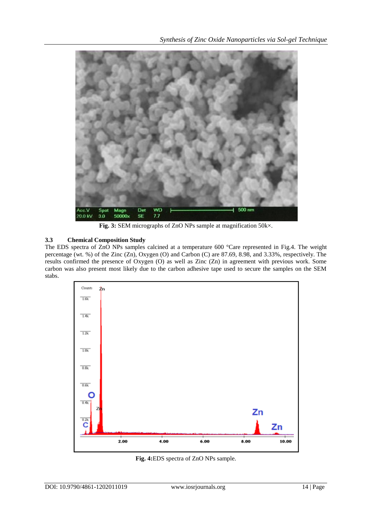

**Fig. 3:** SEM micrographs of ZnO NPs sample at magnification 50k×.

## **3.3 Chemical Composition Study**

The EDS spectra of ZnO NPs samples calcined at a temperature 600 °Care represented in Fig.4. The weight percentage (wt. %) of the Zinc (Zn), Oxygen (O) and Carbon (C) are 87.69, 8.98, and 3.33%, respectively. The results confirmed the presence of Oxygen (O) as well as Zinc (Zn) in agreement with previous work. Some carbon was also present most likely due to the carbon adhesive tape used to secure the samples on the SEM stabs.



**Fig. 4:**EDS spectra of ZnO NPs sample.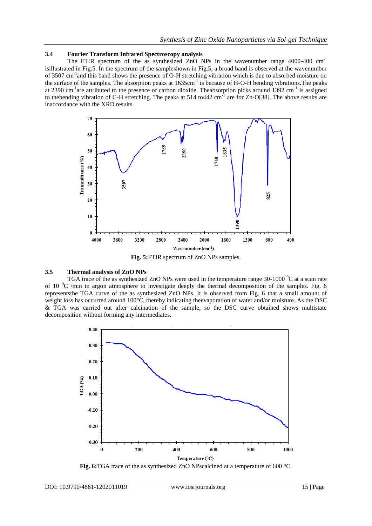#### **3.4 Fourier Transform Infrared Spectroscopy analysis**

The FTIR spectrum of the as synthesized ZnO NPs in the wavenumber range  $4000-400$  cm<sup>-1</sup> isillustrated in Fig.5. In the spectrum of the sampleshown in Fig.5, a broad band is observed at the wavenumber of 3507 cm<sup>-1</sup> and this band shows the presence of O-H stretching vibration which is due to absorbed moisture on the surface of the samples. The absorption peaks at 1635cm<sup>-1</sup> is because of H-O-H bending vibrations. The peaks at 2390 cm<sup>-1</sup>are attributed to the presence of carbon dioxide. Theabsorption picks around 1392 cm<sup>-1</sup> is assigned to the bending vibration of C-H stretching. The peaks at 514 to 442 cm<sup>-1</sup> are for Zn-O[38]. The above results are inaccordance with the XRD results.



**Fig. 5:**FTIR spectrum of ZnO NPs samples.

#### **3.5 Thermal analysis of ZnO NPs**

TGA trace of the as synthesized ZnO NPs were used in the temperature range  $30-1000$  °C at a scan rate of 10  $^{\circ}$ C /min in argon atmosphere to investigate deeply the thermal decomposition of the samples. Fig. 6 representsthe TGA curve of the as synthesized ZnO NPs. It is observed from Fig. 6 that a small amount of weight loss has occurred around 100°C, thereby indicating theevaporation of water and/or moisture. As the DSC & TGA was carried out after calcination of the sample, so the DSC curve obtained shows multistate decomposition without forming any intermediates.



**Fig. 6:**TGA trace of the as synthesized ZnO NPscalcined at a temperature of 600 °C.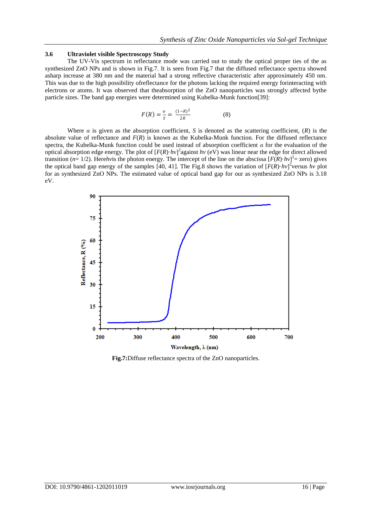#### **3.6 Ultraviolet visible Spectroscopy Study**

The UV-Vis spectrum in reflectance mode was carried out to study the optical proper ties of the as synthesized ZnO NPs and is shown in Fig.7. It is seen from Fig.7 that the diffused reflectance spectra showed asharp increase at 380 nm and the material had a strong reflective characteristic after approximately 450 nm. This was due to the high possibility ofreflectance for the photons lacking the required energy forinteracting with electrons or atoms. It was observed that theabsorption of the ZnO nanoparticles was strongly affected bythe particle sizes. The band gap energies were determined using Kubelka-Munk function[39]:

$$
F(R) = \frac{\alpha}{S} = \frac{(1 - R)^2}{2R}
$$
 (8)

Where  $\alpha$  is given as the absorption coefficient, *S* is denoted as the scattering coefficient,  $(R)$  is the absolute value of reflectance and *F*(*R*) is known as the Kubelka-Munk function. For the diffused reflectance spectra, the Kubelka-Munk function could be used instead of absorption coefficient *α* for the evaluation of the optical absorption edge energy. The plot of  $[F(R) \cdot hv]^2$  against *hv* (eV) was linear near the edge for direct allowed transition ( $n=1/2$ ). Here*hv*is the photon energy. The intercept of the line on the abscissa  $[F(R) \cdot hv]^2$  zero) gives the optical band gap energy of the samples [40, 41]. The Fig.8 shows the variation of  $[F(R) \cdot hv]^2$  versus *hv* plot for as synthesized ZnO NPs. The estimated value of optical band gap for our as synthesized ZnO NPs is 3.18 eV.



**Fig.7:**Diffuse reflectance spectra of the ZnO nanoparticles.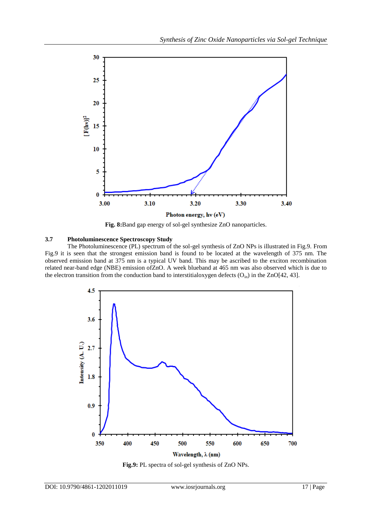

**Fig. 8:**Band gap energy of sol-gel synthesize ZnO nanoparticles.

#### **3.7 Photoluminescence Spectroscopy Study**

The Photoluminescence (PL) spectrum of the sol-gel synthesis of ZnO NPs is illustrated in Fig.9. From Fig.9 it is seen that the strongest emission band is found to be located at the wavelength of 375 nm. The observed emission band at 375 nm is a typical UV band. This may be ascribed to the exciton recombination related near-band edge (NBE) emission ofZnO. A week blueband at 465 nm was also observed which is due to the electron transition from the conduction band to interstitialoxygen defects  $(O_{in})$  in the ZnO[42, 43].



**Fig.9:** PL spectra of sol-gel synthesis of ZnO NPs.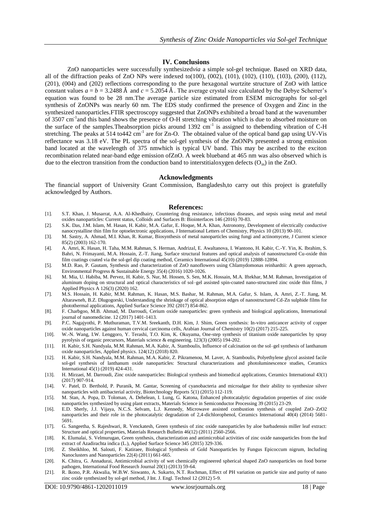#### **IV. Conclusions**

ZnO nanoparticles were successfully synthesized*via* a simple sol-gel technique. Based on XRD data, all of the diffraction peaks of ZnO NPs were indexed to(100), (002), (101), (102), (110), (103), (200), (112), (201), (004) and (202) reflections corresponding to the pure hexagonal wurtzite structure of ZnO with lattice constant values  $a = b = 3.2488 \text{ Å}$  and  $c = 5.2054 \text{ Å}$ . The average crystal size calculated by the Debye Scherrer's equation was found to be 28 nm.The average particle size estimated from ESEM micrographs for sol-gel synthesis of ZnONPs was nearly 60 nm. The EDS study confirmed the presence of Oxygen and Zinc in the synthesized nanoparticles.FTIR spectroscopy suggested that ZnONPs exhibited a broad band at the wavenumber of 3507 cm<sup>-1</sup> and this band shows the presence of O-H stretching vibration which is due to absorbed moisture on the surface of the samples. Theabsorption picks around  $1392 \text{ cm}^{-1}$  is assigned to thebending vibration of C-H stretching. The peaks at 514 to 442 cm<sup>-1</sup> are for Zn-O. The obtained value of the optical band gap using UV-Vis reflectance was 3.18 eV. The PL spectra of the sol-gel synthesis of the ZnONPs presented a strong emission band located at the wavelength of 375 nmwhich is typical UV band. This may be ascribed to the exciton recombination related near-band edge emission ofZnO. A week blueband at 465 nm was also observed which is due to the electron transition from the conduction band to interstitial oxygen defects  $(O_{in})$  in the ZnO.

#### **Acknowledgments**

The financial support of University Grant Commission, Bangladesh,to carry out this project is gratefully acknowledged by Authors.

#### **References:**

- [1]. S.T. Khan, J. Musarrat, A.A. Al-Khedhairy, Countering drug resistance, infectious diseases, and sepsis using metal and metal oxides nanoparticles: Current status, Colloids and Surfaces B: Biointerfaces 146 (2016) 70-83.
- [2]. S.K. Das, J.M. Islam, M. Hasan, H. Kabir, M.A. Gafur, E. Hoque, M.A. Khan, Astronomy, Development of electrically conductive nanocrystalline thin film for optoelectronic applications, J International Letters of Chemistry, Physics 10 (2013) 90-101.
- [3]. M. Sastry, A. Ahmad, M.I. Khan, R. Kumar, Biosynthesis of metal nanoparticles using fungi and actinomycete, J Current science 85(2) (2003) 162-170.
- [4]. A. Amri, K. Hasan, H. Taha, M.M. Rahman, S. Herman, Andrizal, E. Awaltanova, I. Wantono, H. Kabir, C.-Y. Yin, K. Ibrahim, S. Bahri, N. Frimayanti, M.A. Hossain, Z.-T. Jiang, Surface structural features and optical analysis of nanostructured Cu-oxide thin film coatings coated via the sol-gel dip coating method, Ceramics International 45(10) (2019) 12888-12894.
- [5]. M.D. Rao, P. Gautam, Synthesis and characterization of ZnO nanoflowers using Chlamydomonas reinhardtii: A green approach, Environmental Progress & Sustainable Energy 35(4) (2016) 1020-1026.
- [6]. M. Mia, U. Habiba, M. Pervez, H. Kabir, S. Nur, M. Hossen, S. Sen, M.K. Hossain, M.A. Iftekhar, M.M. Rahman, Investigation of aluminum doping on structural and optical characteristics of sol–gel assisted spin-coated nano-structured zinc oxide thin films, J Applied Physics A 126(3) (2020) 162.
- [7]. M.S. Hossain, H. Kabir, M.M. Rahman, K. Hasan, M.S. Bashar, M. Rahman, M.A. Gafur, S. Islam, A. Amri, Z.-T. Jiang, M. Altarawneh, B.Z. Dlugogorski, Understanding the shrinkage of optical absorption edges of nanostructured Cd-Zn sulphide films for photothermal applications, Applied Surface Science 392 (2017) 854-862.
- [8]. F. Charbgoo, M.B. Ahmad, M. Darroudi, Cerium oxide nanoparticles: green synthesis and biological applications, International journal of nanomedicine. 12 (2017) 1401-1413.
- [9]. P.C. Nagajyothi, P. Muthuraman, T.V.M. Sreekanth, D.H. Kim, J. Shim, Green synthesis: In-vitro anticancer activity of copper oxide nanoparticles against human cervical carcinoma cells, Arabian Journal of Chemistry 10(2) (2017) 215-225.
- [10]. W.-N. Wang, I.W. Lenggoro, Y. Terashi, T.O. Kim, K. Okuyama, One-step synthesis of titanium oxide nanoparticles by spray pyrolysis of organic precursors, Materials science & engineering. 123(3) (2005) 194-202.
- [11]. H. Kabir, S.H. Nandyala, M.M. Rahman, M.A. Kabir, A. Stamboulis, Influence of calcination on the sol–gel synthesis of lanthanum oxide nanoparticles, Applied physics. 124(12) (2018) 820.
- [12]. H. Kabir, S.H. Nandyala, M.M. Rahman, M.A. Kabir, Z. Pikramenou, M. Laver, A. Stamboulis, Polyethylene glycol assisted facile sol-gel synthesis of lanthanum oxide nanoparticles: Structural characterizations and photoluminescence studies, Ceramics International 45(1) (2019) 424-431.
- [13]. H. Mirzaei, M. Darroudi, Zinc oxide nanoparticles: Biological synthesis and biomedical applications, Ceramics International 43(1) (2017) 907-914.
- [14]. V. Patel, D. Berthold, P. Puranik, M. Gantar, Screening of cyanobacteria and microalgae for their ability to synthesize silver nanoparticles with antibacterial activity, Biotechnology Reports 5(1) (2015) 112-119.
- [15]. M. Stan, A. Popa, D. Toloman, A. Dehelean, I. Lung, G. Katona, Enhanced photocatalytic degradation properties of zinc oxide nanoparticles synthesized by using plant extracts, Materials Science in Semiconductor Processing 39 (2015) 23-29.
- [16]. E.D. Sherly, J.J. Vijaya, N.C.S. Selvam, L.J. Kennedy, Microwave assisted combustion synthesis of coupled ZnO–ZrO2 nanoparticles and their role in the photocatalytic degradation of 2,4-dichlorophenol, Ceramics International 40(4) (2014) 5681- 5691.
- [17]. G. Sangeetha, S. Rajeshwari, R. Venckatesh, Green synthesis of zinc oxide nanoparticles by aloe barbadensis miller leaf extract: Structure and optical properties, Materials Research Bulletin 46(12) (2011) 2560-2566.
- [18]. K. Elumalai, S. Velmurugan, Green synthesis, characterization and antimicrobial activities of zinc oxide nanoparticles from the leaf extract of Azadirachta indica (L.), Applied Surface Science 345 (2015) 329-336.
- [19]. Z. Sheikhloo, M. Salouti, F. Katiraee, Biological Synthesis of Gold Nanoparticles by Fungus Epicoccum nigrum, Including Nanoclusters and Nanoparticles 22(4) (2011) 661-665.
- [20]. K. Chitra, G. Annadurai, Antimicrobial activity of wet chemically engineered spherical shaped ZnO nanoparticles on food borne pathogen, International Food Research Journal 20(1) (2013) 59-64.
- [21]. R. Ikono, P.R. Akwalia, W.B.W. Siswanto, A. Sukarto, N.T. Rochman, Effect of PH variation on particle size and purity of nano zinc oxide synthesized by sol-gel method, J Int. J. Engl. Technol 12 (2012) 5-9.